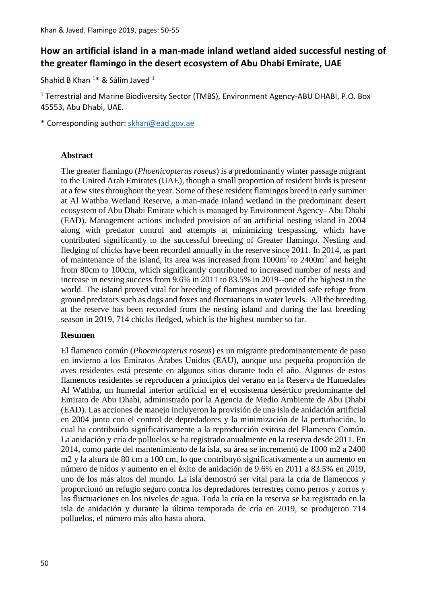# **How an artificial island in a man-made inland wetland aided successful nesting of the greater flamingo in the desert ecosystem of Abu Dhabi Emirate, UAE**

Shahid B Khan <sup>1\*</sup> & Sàlim Javed <sup>1</sup>

<sup>1</sup> Terrestrial and Marine Biodiversity Sector (TMBS), Environment Agency-ABU DHABI, P.O. Box 45553, Abu Dhabi, UAE.

\* Corresponding author: [skhan@ead.gov.ae](mailto:skhan@ead.gov.ae)

### **Abstract**

The greater flamingo (*Phoenicopterus roseus*) is a predominantly winter passage migrant to the United Arab Emirates (UAE), though a small proportion of resident birds is present at a few sites throughout the year. Some of these resident flamingos breed in early summer at Al Wathba Wetland Reserve, a man-made inland wetland in the predominant desert ecosystem of Abu Dhabi Emirate which is managed by Environment Agency- Abu Dhabi (EAD). Management actions included provision of an artificial nesting island in 2004 along with predator control and attempts at minimizing trespassing, which have contributed significantly to the successful breeding of Greater flamingo. Nesting and fledging of chicks have been recorded annually in the reserve since 2011. In 2014, as part of maintenance of the island, its area was increased from  $1000m^2$  to  $2400m^2$  and height from 80cm to 100cm, which significantly contributed to increased number of nests and increase in nesting success from 9.6% in 2011 to 83.5% in 2019--one of the highest in the world. The island proved vital for breeding of flamingos and provided safe refuge from ground predators such as dogs and foxes and fluctuations in water levels. All the breeding at the reserve has been recorded from the nesting island and during the last breeding season in 2019, 714 chicks fledged, which is the highest number so far.

### **Resumen**

El flamenco común (*Phoenicopterus roseus*) es un migrante predominantemente de paso en invierno a los Emiratos Árabes Unidos (EAU), aunque una pequeña proporción de aves residentes está presente en algunos sitios durante todo el año. Algunos de estos flamencos residentes se reproducen a principios del verano en la Reserva de Humedales Al Wathba, un humedal interior artificial en el ecosistema desértico predominante del Emirato de Abu Dhabi, administrado por la Agencia de Medio Ambiente de Abu Dhabi (EAD). Las acciones de manejo incluyeron la provisión de una isla de anidación artificial en 2004 junto con el control de depredadores y la minimización de la perturbación, lo cual ha contribuido significativamente a la reproducción exitosa del Flamenco Común. La anidación y cría de polluelos se ha registrado anualmente en la reserva desde 2011. En 2014, como parte del mantenimiento de la isla, su área se incrementó de 1000 m2 a 2400 m2 y la altura de 80 cm a 100 cm, lo que contribuyó significativamente a un aumento en número de nidos y aumento en el éxito de anidación de 9.6% en 2011 a 83.5% en 2019, uno de los más altos del mundo. La isla demostró ser vital para la cría de flamencos y proporcionó un refugio seguro contra los depredadores terrestres como perros y zorros y las fluctuaciones en los niveles de agua. Toda la cría en la reserva se ha registrado en la isla de anidación y durante la última temporada de cría en 2019, se produjeron 714 polluelos, el número más alto hasta ahora.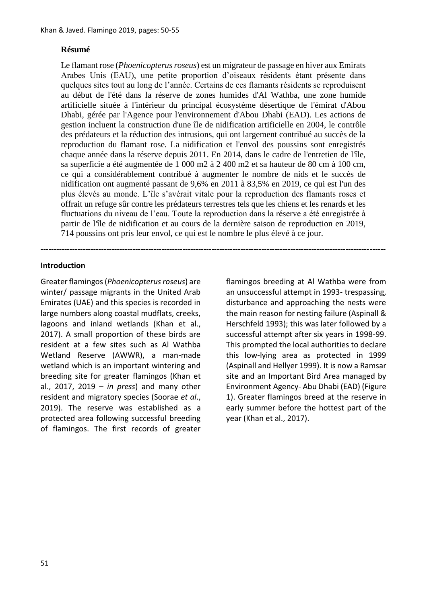# **Résumé**

Le flamant rose (*Phoenicopterus roseus*) est un migrateur de passage en hiver aux Emirats Arabes Unis (EAU), une petite proportion d'oiseaux résidents étant présente dans quelques sites tout au long de l'année. Certains de ces flamants résidents se reproduisent au début de l'été dans la réserve de zones humides d'Al Wathba, une zone humide artificielle située à l'intérieur du principal écosystème désertique de l'émirat d'Abou Dhabi, gérée par l'Agence pour l'environnement d'Abou Dhabi (EAD). Les actions de gestion incluent la construction d'une île de nidification artificielle en 2004, le contrôle des prédateurs et la réduction des intrusions, qui ont largement contribué au succès de la reproduction du flamant rose. La nidification et l'envol des poussins sont enregistrés chaque année dans la réserve depuis 2011. En 2014, dans le cadre de l'entretien de l'île, sa superficie a été augmentée de 1 000 m2 à 2 400 m2 et sa hauteur de 80 cm à 100 cm, ce qui a considérablement contribué à augmenter le nombre de nids et le succès de nidification ont augmenté passant de 9,6% en 2011 à 83,5% en 2019, ce qui est l'un des plus élevés au monde. L'île s'avérait vitale pour la reproduction des flamants roses et offrait un refuge sûr contre les prédateurs terrestres tels que les chiens et les renards et les fluctuations du niveau de l'eau. Toute la reproduction dans la réserve a été enregistrée à partir de l'île de nidification et au cours de la dernière saison de reproduction en 2019, 714 poussins ont pris leur envol, ce qui est le nombre le plus élevé à ce jour.

**-----------------------------------------------------------------------------------------------------------------------------------**

### **Introduction**

Greater flamingos (*Phoenicopterus roseus*) are winter/ passage migrants in the United Arab Emirates (UAE) and this species is recorded in large numbers along coastal mudflats, creeks, lagoons and inland wetlands (Khan et al., 2017). A small proportion of these birds are resident at a few sites such as Al Wathba Wetland Reserve (AWWR), a man-made wetland which is an important wintering and breeding site for greater flamingos (Khan et al., 2017, 2019 – *in press*) and many other resident and migratory species (Soorae *et al*., 2019). The reserve was established as a protected area following successful breeding of flamingos. The first records of greater flamingos breeding at Al Wathba were from an unsuccessful attempt in 1993- trespassing, disturbance and approaching the nests were the main reason for nesting failure (Aspinall & Herschfeld 1993); this was later followed by a successful attempt after six years in 1998-99. This prompted the local authorities to declare this low-lying area as protected in 1999 (Aspinall and Hellyer 1999). It is now a Ramsar site and an Important Bird Area managed by Environment Agency- Abu Dhabi (EAD) (Figure 1). Greater flamingos breed at the reserve in early summer before the hottest part of the year (Khan et al., 2017).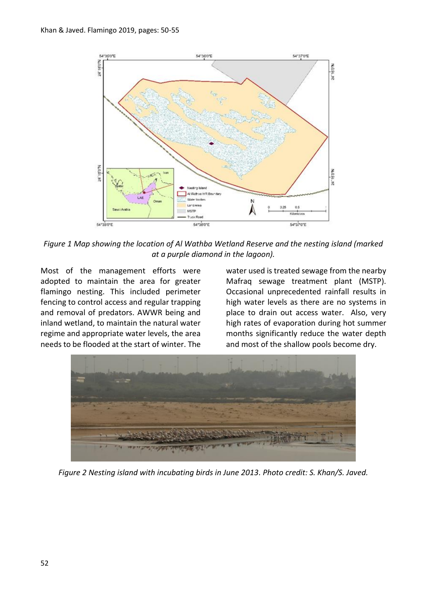

*Figure 1 Map showing the location of Al Wathba Wetland Reserve and the nesting island (marked at a purple diamond in the lagoon).*

Most of the management efforts were adopted to maintain the area for greater flamingo nesting. This included perimeter fencing to control access and regular trapping and removal of predators. AWWR being and inland wetland, to maintain the natural water regime and appropriate water levels, the area needs to be flooded at the start of winter. The water used is treated sewage from the nearby Mafraq sewage treatment plant (MSTP). Occasional unprecedented rainfall results in high water levels as there are no systems in place to drain out access water. Also, very high rates of evaporation during hot summer months significantly reduce the water depth and most of the shallow pools become dry.



*Figure 2 Nesting island with incubating birds in June 2013. Photo credit: S. Khan/S. Javed.*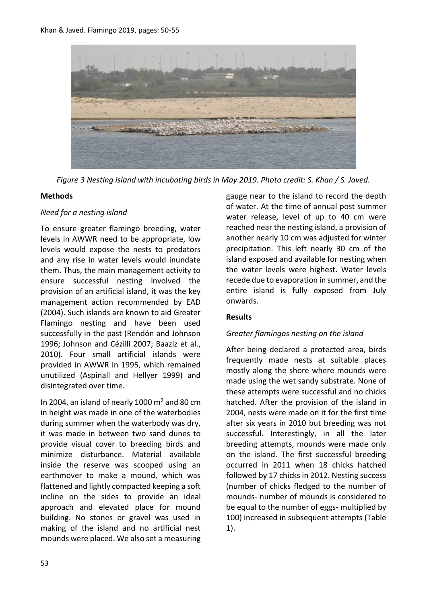

*Figure 3 Nesting island with incubating birds in May 2019. Photo credit: S. Khan / S. Javed.*

### **Methods**

### *Need for a nesting island*

To ensure greater flamingo breeding, water levels in AWWR need to be appropriate, low levels would expose the nests to predators and any rise in water levels would inundate them. Thus, the main management activity to ensure successful nesting involved the provision of an artificial island, it was the key management action recommended by EAD (2004). Such islands are known to aid Greater Flamingo nesting and have been used successfully in the past (Rendón and Johnson 1996; Johnson and Cézilli 2007; Baaziz et al., 2010). Four small artificial islands were provided in AWWR in 1995, which remained unutilized (Aspinall and Hellyer 1999) and disintegrated over time.

In 2004, an island of nearly 1000  $\mathrm{m}^2$  and 80 cm in height was made in one of the waterbodies during summer when the waterbody was dry, it was made in between two sand dunes to provide visual cover to breeding birds and minimize disturbance. Material available inside the reserve was scooped using an earthmover to make a mound, which was flattened and lightly compacted keeping a soft incline on the sides to provide an ideal approach and elevated place for mound building. No stones or gravel was used in making of the island and no artificial nest mounds were placed. We also set a measuring gauge near to the island to record the depth of water. At the time of annual post summer water release, level of up to 40 cm were reached near the nesting island, a provision of another nearly 10 cm was adjusted for winter precipitation. This left nearly 30 cm of the island exposed and available for nesting when the water levels were highest. Water levels recede due to evaporation in summer, and the entire island is fully exposed from July onwards.

# **Results**

# *Greater flamingos nesting on the island*

After being declared a protected area, birds frequently made nests at suitable places mostly along the shore where mounds were made using the wet sandy substrate. None of these attempts were successful and no chicks hatched. After the provision of the island in 2004, nests were made on it for the first time after six years in 2010 but breeding was not successful. Interestingly, in all the later breeding attempts, mounds were made only on the island. The first successful breeding occurred in 2011 when 18 chicks hatched followed by 17 chicks in 2012. Nesting success (number of chicks fledged to the number of mounds- number of mounds is considered to be equal to the number of eggs- multiplied by 100) increased in subsequent attempts (Table 1).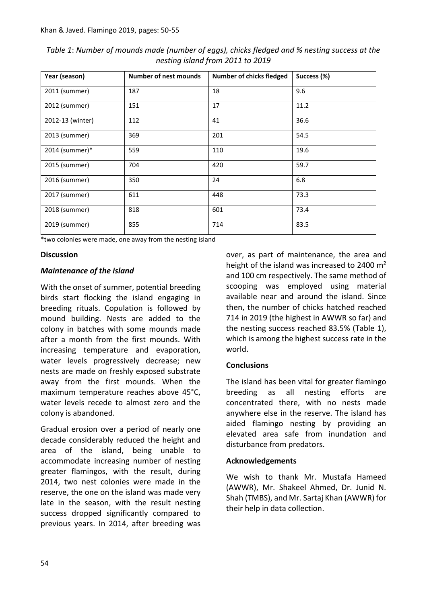| Year (season)    | <b>Number of nest mounds</b> | Number of chicks fledged | Success (%) |
|------------------|------------------------------|--------------------------|-------------|
| 2011 (summer)    | 187                          | 18                       | 9.6         |
| 2012 (summer)    | 151                          | 17                       | 11.2        |
| 2012-13 (winter) | 112                          | 41                       | 36.6        |
| 2013 (summer)    | 369                          | 201                      | 54.5        |
| 2014 (summer)*   | 559                          | 110                      | 19.6        |
| 2015 (summer)    | 704                          | 420                      | 59.7        |
| 2016 (summer)    | 350                          | 24                       | 6.8         |
| 2017 (summer)    | 611                          | 448                      | 73.3        |
| 2018 (summer)    | 818                          | 601                      | 73.4        |
| 2019 (summer)    | 855                          | 714                      | 83.5        |

*Table 1*: *Number of mounds made (number of eggs), chicks fledged and % nesting success at the nesting island from 2011 to 2019*

\*two colonies were made, one away from the nesting island

#### **Discussion**

### *Maintenance of the island*

With the onset of summer, potential breeding birds start flocking the island engaging in breeding rituals. Copulation is followed by mound building. Nests are added to the colony in batches with some mounds made after a month from the first mounds. With increasing temperature and evaporation, water levels progressively decrease; new nests are made on freshly exposed substrate away from the first mounds. When the maximum temperature reaches above 45°C, water levels recede to almost zero and the colony is abandoned.

Gradual erosion over a period of nearly one decade considerably reduced the height and area of the island, being unable to accommodate increasing number of nesting greater flamingos, with the result, during 2014, two nest colonies were made in the reserve, the one on the island was made very late in the season, with the result nesting success dropped significantly compared to previous years. In 2014, after breeding was over, as part of maintenance, the area and height of the island was increased to 2400  $m<sup>2</sup>$ and 100 cm respectively. The same method of scooping was employed using material available near and around the island. Since then, the number of chicks hatched reached 714 in 2019 (the highest in AWWR so far) and the nesting success reached 83.5% (Table 1), which is among the highest success rate in the world.

### **Conclusions**

The island has been vital for greater flamingo breeding as all nesting efforts are concentrated there, with no nests made anywhere else in the reserve. The island has aided flamingo nesting by providing an elevated area safe from inundation and disturbance from predators.

### **Acknowledgements**

We wish to thank Mr. Mustafa Hameed (AWWR), Mr. Shakeel Ahmed, Dr. Junid N. Shah (TMBS), and Mr. Sartaj Khan (AWWR) for their help in data collection.